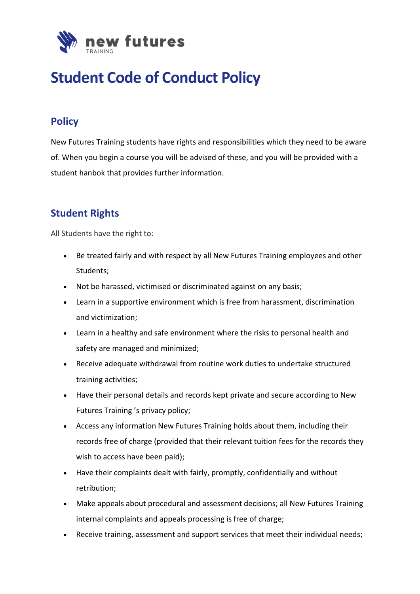

# **Student Code of Conduct Policy**

# **Policy**

New Futures Training students have rights and responsibilities which they need to be aware of. When you begin a course you will be advised of these, and you will be provided with a student hanbok that provides further information.

# **Student Rights**

All Students have the right to:

- Be treated fairly and with respect by all New Futures Training employees and other Students;
- Not be harassed, victimised or discriminated against on any basis;
- Learn in a supportive environment which is free from harassment, discrimination and victimization;
- Learn in a healthy and safe environment where the risks to personal health and safety are managed and minimized;
- Receive adequate withdrawal from routine work duties to undertake structured training activities;
- Have their personal details and records kept private and secure according to New Futures Training 's privacy policy;
- Access any information New Futures Training holds about them, including their records free of charge (provided that their relevant tuition fees for the records they wish to access have been paid);
- Have their complaints dealt with fairly, promptly, confidentially and without retribution;
- Make appeals about procedural and assessment decisions; all New Futures Training internal complaints and appeals processing is free of charge;
- Receive training, assessment and support services that meet their individual needs;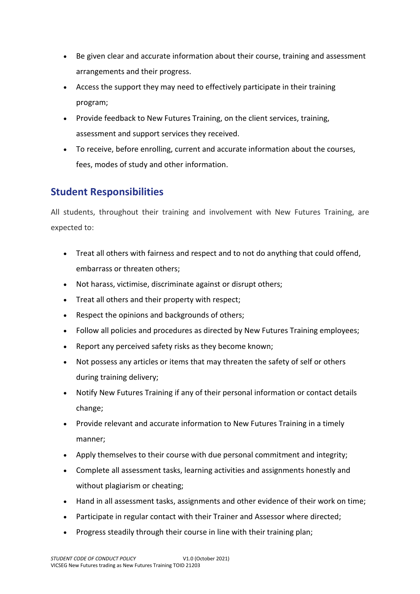- Be given clear and accurate information about their course, training and assessment arrangements and their progress.
- Access the support they may need to effectively participate in their training program;
- Provide feedback to New Futures Training, on the client services, training, assessment and support services they received.
- To receive, before enrolling, current and accurate information about the courses, fees, modes of study and other information.

# **Student Responsibilities**

All students, throughout their training and involvement with New Futures Training, are expected to:

- Treat all others with fairness and respect and to not do anything that could offend, embarrass or threaten others;
- Not harass, victimise, discriminate against or disrupt others;
- Treat all others and their property with respect;
- Respect the opinions and backgrounds of others;
- Follow all policies and procedures as directed by New Futures Training employees;
- Report any perceived safety risks as they become known;
- Not possess any articles or items that may threaten the safety of self or others during training delivery;
- Notify New Futures Training if any of their personal information or contact details change;
- Provide relevant and accurate information to New Futures Training in a timely manner;
- Apply themselves to their course with due personal commitment and integrity;
- Complete all assessment tasks, learning activities and assignments honestly and without plagiarism or cheating;
- Hand in all assessment tasks, assignments and other evidence of their work on time;
- Participate in regular contact with their Trainer and Assessor where directed;
- Progress steadily through their course in line with their training plan;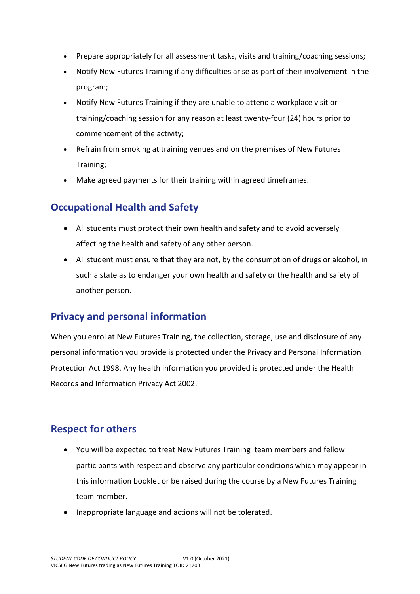- Prepare appropriately for all assessment tasks, visits and training/coaching sessions;
- Notify New Futures Training if any difficulties arise as part of their involvement in the program;
- Notify New Futures Training if they are unable to attend a workplace visit or training/coaching session for any reason at least twenty-four (24) hours prior to commencement of the activity;
- Refrain from smoking at training venues and on the premises of New Futures Training;
- Make agreed payments for their training within agreed timeframes.

# **Occupational Health and Safety**

- All students must protect their own health and safety and to avoid adversely affecting the health and safety of any other person.
- All student must ensure that they are not, by the consumption of drugs or alcohol, in such a state as to endanger your own health and safety or the health and safety of another person.

# **Privacy and personal information**

When you enrol at New Futures Training, the collection, storage, use and disclosure of any personal information you provide is protected under the Privacy and Personal Information Protection Act 1998. Any health information you provided is protected under the Health Records and Information Privacy Act 2002.

## **Respect for others**

- You will be expected to treat New Futures Training team members and fellow participants with respect and observe any particular conditions which may appear in this information booklet or be raised during the course by a New Futures Training team member.
- Inappropriate language and actions will not be tolerated.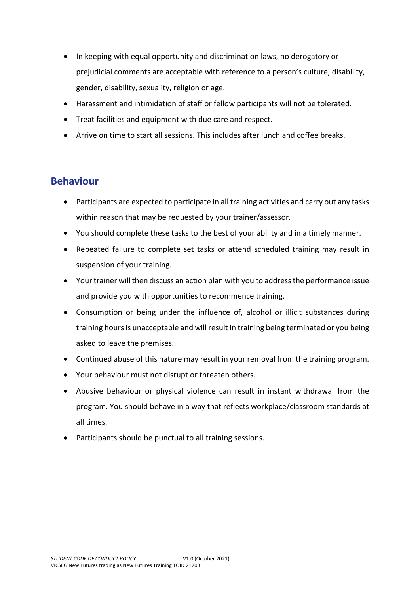- In keeping with equal opportunity and discrimination laws, no derogatory or prejudicial comments are acceptable with reference to a person's culture, disability, gender, disability, sexuality, religion or age.
- Harassment and intimidation of staff or fellow participants will not be tolerated.
- Treat facilities and equipment with due care and respect.
- Arrive on time to start all sessions. This includes after lunch and coffee breaks.

## **Behaviour**

- Participants are expected to participate in all training activities and carry out any tasks within reason that may be requested by your trainer/assessor.
- You should complete these tasks to the best of your ability and in a timely manner.
- Repeated failure to complete set tasks or attend scheduled training may result in suspension of your training.
- Your trainer will then discuss an action plan with you to address the performance issue and provide you with opportunities to recommence training.
- Consumption or being under the influence of, alcohol or illicit substances during training hours is unacceptable and will result in training being terminated or you being asked to leave the premises.
- Continued abuse of this nature may result in your removal from the training program.
- Your behaviour must not disrupt or threaten others.
- Abusive behaviour or physical violence can result in instant withdrawal from the program. You should behave in a way that reflects workplace/classroom standards at all times.
- Participants should be punctual to all training sessions.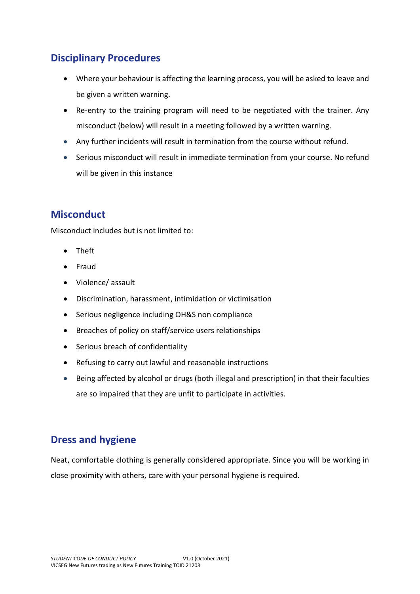# **Disciplinary Procedures**

- Where your behaviour is affecting the learning process, you will be asked to leave and be given a written warning.
- Re-entry to the training program will need to be negotiated with the trainer. Any misconduct (below) will result in a meeting followed by a written warning.
- Any further incidents will result in termination from the course without refund.
- Serious misconduct will result in immediate termination from your course. No refund will be given in this instance

## **Misconduct**

Misconduct includes but is not limited to:

- Theft
- Fraud
- Violence/ assault
- Discrimination, harassment, intimidation or victimisation
- Serious negligence including OH&S non compliance
- Breaches of policy on staff/service users relationships
- Serious breach of confidentiality
- Refusing to carry out lawful and reasonable instructions
- Being affected by alcohol or drugs (both illegal and prescription) in that their faculties are so impaired that they are unfit to participate in activities.

## **Dress and hygiene**

Neat, comfortable clothing is generally considered appropriate. Since you will be working in close proximity with others, care with your personal hygiene is required.